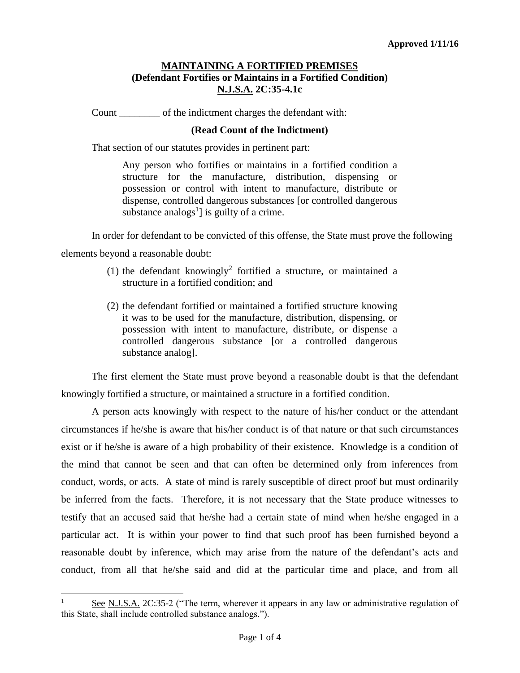Count \_\_\_\_\_\_\_\_ of the indictment charges the defendant with:

## **(Read Count of the Indictment)**

That section of our statutes provides in pertinent part:

Any person who fortifies or maintains in a fortified condition a structure for the manufacture, distribution, dispensing or possession or control with intent to manufacture, distribute or dispense, controlled dangerous substances [or controlled dangerous substance analogs<sup>1</sup>] is guilty of a crime.

In order for defendant to be convicted of this offense, the State must prove the following

elements beyond a reasonable doubt:

 $\overline{a}$ 

- (1) the defendant knowingly<sup>2</sup> fortified a structure, or maintained a structure in a fortified condition; and
- (2) the defendant fortified or maintained a fortified structure knowing it was to be used for the manufacture, distribution, dispensing, or possession with intent to manufacture, distribute, or dispense a controlled dangerous substance [or a controlled dangerous substance analog].

The first element the State must prove beyond a reasonable doubt is that the defendant knowingly fortified a structure, or maintained a structure in a fortified condition.

A person acts knowingly with respect to the nature of his/her conduct or the attendant circumstances if he/she is aware that his/her conduct is of that nature or that such circumstances exist or if he/she is aware of a high probability of their existence. Knowledge is a condition of the mind that cannot be seen and that can often be determined only from inferences from conduct, words, or acts. A state of mind is rarely susceptible of direct proof but must ordinarily be inferred from the facts. Therefore, it is not necessary that the State produce witnesses to testify that an accused said that he/she had a certain state of mind when he/she engaged in a particular act. It is within your power to find that such proof has been furnished beyond a reasonable doubt by inference, which may arise from the nature of the defendant's acts and conduct, from all that he/she said and did at the particular time and place, and from all

<sup>&</sup>lt;sup>1</sup> See N.J.S.A. 2C:35-2 ("The term, wherever it appears in any law or administrative regulation of this State, shall include controlled substance analogs.").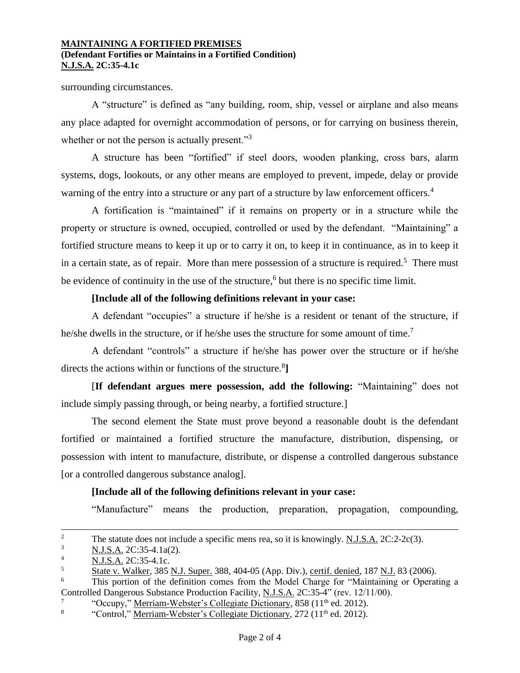surrounding circumstances.

A "structure" is defined as "any building, room, ship, vessel or airplane and also means any place adapted for overnight accommodation of persons, or for carrying on business therein, whether or not the person is actually present."<sup>3</sup>

A structure has been "fortified" if steel doors, wooden planking, cross bars, alarm systems, dogs, lookouts, or any other means are employed to prevent, impede, delay or provide warning of the entry into a structure or any part of a structure by law enforcement officers.<sup>4</sup>

A fortification is "maintained" if it remains on property or in a structure while the property or structure is owned, occupied, controlled or used by the defendant. "Maintaining" a fortified structure means to keep it up or to carry it on, to keep it in continuance, as in to keep it in a certain state, as of repair. More than mere possession of a structure is required.<sup>5</sup> There must be evidence of continuity in the use of the structure,<sup>6</sup> but there is no specific time limit.

## **[Include all of the following definitions relevant in your case:**

A defendant "occupies" a structure if he/she is a resident or tenant of the structure, if he/she dwells in the structure, or if he/she uses the structure for some amount of time.<sup>7</sup>

A defendant "controls" a structure if he/she has power over the structure or if he/she directs the actions within or functions of the structure.<sup>8</sup>]

[**If defendant argues mere possession, add the following:** "Maintaining" does not include simply passing through, or being nearby, a fortified structure.]

The second element the State must prove beyond a reasonable doubt is the defendant fortified or maintained a fortified structure the manufacture, distribution, dispensing, or possession with intent to manufacture, distribute, or dispense a controlled dangerous substance [or a controlled dangerous substance analog].

## **[Include all of the following definitions relevant in your case:**

"Manufacture" means the production, preparation, propagation, compounding,

 $\frac{1}{2}$ The statute does not include a specific mens rea, so it is knowingly. N.J.S.A. 2C:2-2c(3).

<sup>3</sup> N.J.S.A. 2C:35-4.1a(2).

<sup>4</sup> N.J.S.A. 2C:35-4.1c.

<sup>5</sup> State v. Walker, 385 N.J. Super. 388, 404-05 (App. Div.), certif. denied, 187 N.J. 83 (2006).

<sup>6</sup> This portion of the definition comes from the Model Charge for "Maintaining or Operating a Controlled Dangerous Substance Production Facility, N.J.S.A. 2C:35-4" (rev. 12/11/00).

<sup>7</sup> "Occupy," Merriam-Webster's Collegiate Dictionary, 858 (11<sup>th</sup> ed. 2012).

<sup>8</sup> "Control," Merriam-Webster's Collegiate Dictionary, 272 (11<sup>th</sup> ed. 2012).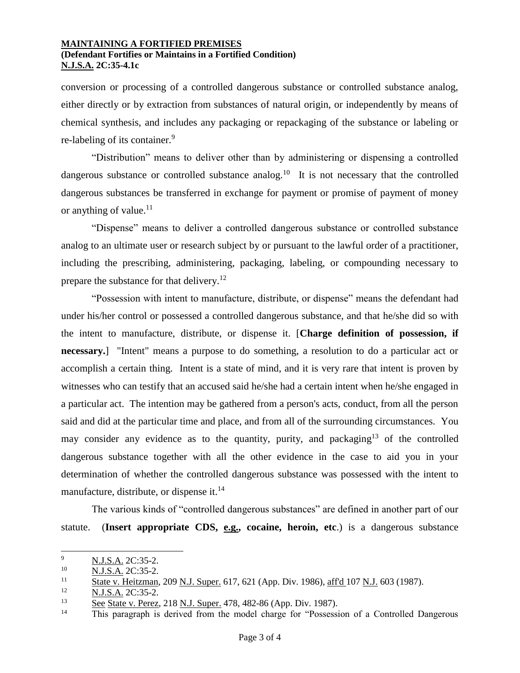conversion or processing of a controlled dangerous substance or controlled substance analog, either directly or by extraction from substances of natural origin, or independently by means of chemical synthesis, and includes any packaging or repackaging of the substance or labeling or re-labeling of its container.<sup>9</sup>

"Distribution" means to deliver other than by administering or dispensing a controlled dangerous substance or controlled substance analog.<sup>10</sup> It is not necessary that the controlled dangerous substances be transferred in exchange for payment or promise of payment of money or anything of value.<sup>11</sup>

"Dispense" means to deliver a controlled dangerous substance or controlled substance analog to an ultimate user or research subject by or pursuant to the lawful order of a practitioner, including the prescribing, administering, packaging, labeling, or compounding necessary to prepare the substance for that delivery.<sup>12</sup>

"Possession with intent to manufacture, distribute, or dispense" means the defendant had under his/her control or possessed a controlled dangerous substance, and that he/she did so with the intent to manufacture, distribute, or dispense it. [**Charge definition of possession, if necessary.**] "Intent" means a purpose to do something, a resolution to do a particular act or accomplish a certain thing. Intent is a state of mind, and it is very rare that intent is proven by witnesses who can testify that an accused said he/she had a certain intent when he/she engaged in a particular act. The intention may be gathered from a person's acts, conduct, from all the person said and did at the particular time and place, and from all of the surrounding circumstances. You may consider any evidence as to the quantity, purity, and packaging<sup>13</sup> of the controlled dangerous substance together with all the other evidence in the case to aid you in your determination of whether the controlled dangerous substance was possessed with the intent to manufacture, distribute, or dispense it.<sup>14</sup>

The various kinds of "controlled dangerous substances" are defined in another part of our statute. (**Insert appropriate CDS, e.g., cocaine, heroin, etc**.) is a dangerous substance

 $\overline{a}$ 

<sup>9</sup> N.J.S.A. 2C:35-2.

<sup>10</sup> N.J.S.A. 2C:35-2.

<sup>11</sup> State v. Heitzman, 209 N.J. Super. 617, 621 (App. Div. 1986), aff'd 107 N.J. 603 (1987).

<sup>12</sup> N.J.S.A. 2C:35-2.

<sup>13</sup> See State v. Perez, 218 N.J. Super. 478, 482-86 (App. Div. 1987).

<sup>14</sup> This paragraph is derived from the model charge for "Possession of a Controlled Dangerous